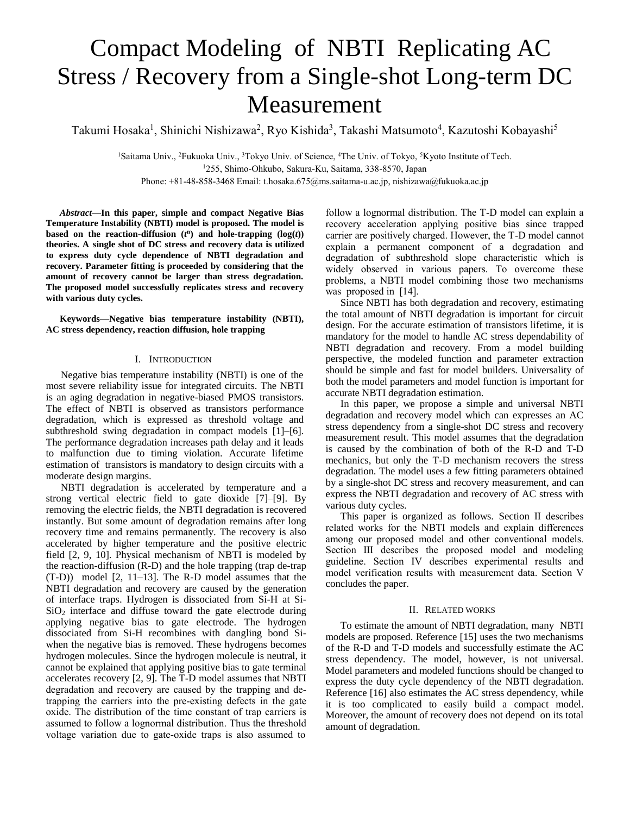# Compact Modeling of NBTI Replicating AC Stress / Recovery from a Single-shot Long-term DC Measurement

Takumi Hosaka<sup>1</sup>, Shinichi Nishizawa<sup>2</sup>, Ryo Kishida<sup>3</sup>, Takashi Matsumoto<sup>4</sup>, Kazutoshi Kobayashi<sup>5</sup>

<sup>1</sup>Saitama Univ., <sup>2</sup>Fukuoka Univ., <sup>3</sup>Tokyo Univ. of Science, <sup>4</sup>The Univ. of Tokyo, <sup>5</sup>Kyoto Institute of Tech. <sup>1</sup>255, Shimo-Ohkubo, Sakura-Ku, Saitama, 338-8570, Japan Phone: +81-48-858-3468 Email: t.hosaka.675@ms.saitama-u.ac.jp, nishizawa@fukuoka.ac.jp

*Abstract***—In this paper, simple and compact Negative Bias Temperature Instability (NBTI) model is proposed. The model is based** on the **reaction-diffusion**  $(t^n)$  and **hole-trapping**  $(\log(t))$ **theories. A single shot of DC stress and recovery data is utilized to express duty cycle dependence of NBTI degradation and recovery. Parameter fitting is proceeded by considering that the amount of recovery cannot be larger than stress degradation. The proposed model successfully replicates stress and recovery with various duty cycles.** 

**Keywords—Negative bias temperature instability (NBTI), AC stress dependency, reaction diffusion, hole trapping**

# I. INTRODUCTION

Negative bias temperature instability (NBTI) is one of the most severe reliability issue for integrated circuits. The NBTI is an aging degradation in negative-biased PMOS transistors. The effect of NBTI is observed as transistors performance degradation, which is expressed as threshold voltage and subthreshold swing degradation in compact models [1]–[6]. The performance degradation increases path delay and it leads to malfunction due to timing violation. Accurate lifetime estimation of transistors is mandatory to design circuits with a moderate design margins.

NBTI degradation is accelerated by temperature and a strong vertical electric field to gate dioxide [7]–[9]. By removing the electric fields, the NBTI degradation is recovered instantly. But some amount of degradation remains after long recovery time and remains permanently. The recovery is also accelerated by higher temperature and the positive electric field [2, 9, 10]. Physical mechanism of NBTI is modeled by the reaction-diffusion (R-D) and the hole trapping (trap de-trap (T-D)) model [2, 11–13]. The R-D model assumes that the NBTI degradation and recovery are caused by the generation of interface traps. Hydrogen is dissociated from Si-H at Si- $SiO<sub>2</sub>$  interface and diffuse toward the gate electrode during applying negative bias to gate electrode. The hydrogen dissociated from Si-H recombines with dangling bond Siwhen the negative bias is removed. These hydrogens becomes hydrogen molecules. Since the hydrogen molecule is neutral, it cannot be explained that applying positive bias to gate terminal accelerates recovery [2, 9]. The T-D model assumes that NBTI degradation and recovery are caused by the trapping and detrapping the carriers into the pre-existing defects in the gate oxide. The distribution of the time constant of trap carriers is assumed to follow a lognormal distribution. Thus the threshold voltage variation due to gate-oxide traps is also assumed to

follow a lognormal distribution. The T-D model can explain a recovery acceleration applying positive bias since trapped carrier are positively charged. However, the T-D model cannot explain a permanent component of a degradation and degradation of subthreshold slope characteristic which is widely observed in various papers. To overcome these problems, a NBTI model combining those two mechanisms was proposed in [14].

Since NBTI has both degradation and recovery, estimating the total amount of NBTI degradation is important for circuit design. For the accurate estimation of transistors lifetime, it is mandatory for the model to handle AC stress dependability of NBTI degradation and recovery. From a model building perspective, the modeled function and parameter extraction should be simple and fast for model builders. Universality of both the model parameters and model function is important for accurate NBTI degradation estimation.

In this paper, we propose a simple and universal NBTI degradation and recovery model which can expresses an AC stress dependency from a single-shot DC stress and recovery measurement result. This model assumes that the degradation is caused by the combination of both of the R-D and T-D mechanics, but only the T-D mechanism recovers the stress degradation. The model uses a few fitting parameters obtained by a single-shot DC stress and recovery measurement, and can express the NBTI degradation and recovery of AC stress with various duty cycles.

This paper is organized as follows. Section Ⅱ describes related works for the NBTI models and explain differences among our proposed model and other conventional models. Section III describes the proposed model and modeling guideline. Section Ⅳ describes experimental results and model verification results with measurement data. Section Ⅴ concludes the paper.

#### II. RELATED WORKS

To estimate the amount of NBTI degradation, many NBTI models are proposed. Reference [15] uses the two mechanisms of the R-D and T-D models and successfully estimate the AC stress dependency. The model, however, is not universal. Model parameters and modeled functions should be changed to express the duty cycle dependency of the NBTI degradation. Reference [16] also estimates the AC stress dependency, while it is too complicated to easily build a compact model. Moreover, the amount of recovery does not depend on its total amount of degradation.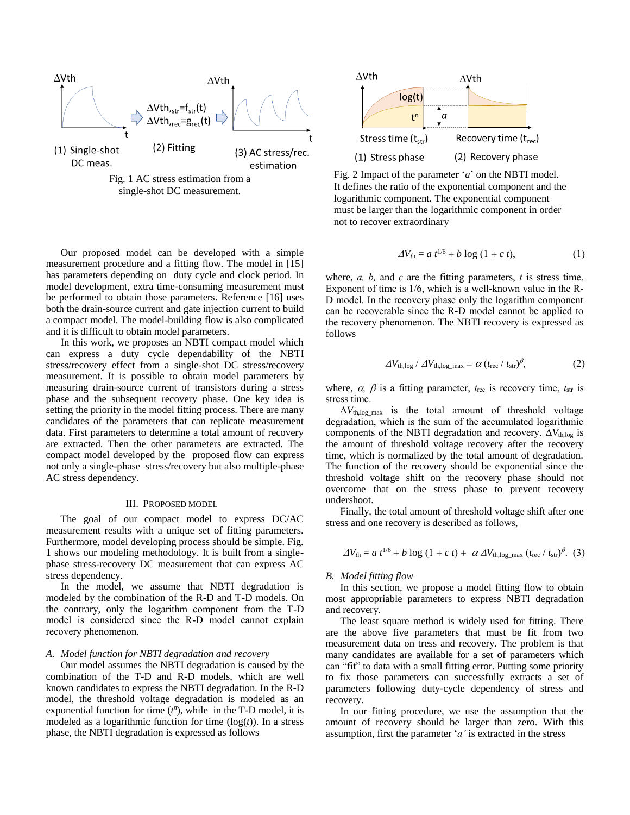

single-shot DC measurement.

Our proposed model can be developed with a simple measurement procedure and a fitting flow. The model in [15] has parameters depending on duty cycle and clock period. In model development, extra time-consuming measurement must be performed to obtain those parameters. Reference [16] uses both the drain-source current and gate injection current to build a compact model. The model-building flow is also complicated and it is difficult to obtain model parameters.

In this work, we proposes an NBTI compact model which can express a duty cycle dependability of the NBTI stress/recovery effect from a single-shot DC stress/recovery measurement. It is possible to obtain model parameters by measuring drain-source current of transistors during a stress phase and the subsequent recovery phase. One key idea is setting the priority in the model fitting process. There are many candidates of the parameters that can replicate measurement data. First parameters to determine a total amount of recovery are extracted. Then the other parameters are extracted. The compact model developed by the proposed flow can express not only a single-phase stress/recovery but also multiple-phase AC stress dependency.

## III. PROPOSED MODEL

The goal of our compact model to express DC/AC measurement results with a unique set of fitting parameters. Furthermore, model developing process should be simple. Fig. 1 shows our modeling methodology. It is built from a singlephase stress-recovery DC measurement that can express AC stress dependency.

In the model, we assume that NBTI degradation is modeled by the combination of the R-D and T-D models. On the contrary, only the logarithm component from the T-D model is considered since the R-D model cannot explain recovery phenomenon.

#### *A. Model function for NBTI degradation and recovery*

Our model assumes the NBTI degradation is caused by the combination of the T-D and R-D models, which are well known candidates to express the NBTI degradation. In the R-D model, the threshold voltage degradation is modeled as an exponential function for time  $(t^n)$ , while in the T-D model, it is modeled as a logarithmic function for time (log(*t*)). In a stress phase, the NBTI degradation is expressed as follows



Fig. 2 Impact of the parameter '*a*' on the NBTI model. It defines the ratio of the exponential component and the logarithmic component. The exponential component must be larger than the logarithmic component in order not to recover extraordinary

$$
\Delta V_{\text{th}} = a t^{1/6} + b \log (1 + c t), \tag{1}
$$

where, *a, b,* and *c* are the fitting parameters, *t* is stress time. Exponent of time is 1/6, which is a well-known value in the R-D model. In the recovery phase only the logarithm component can be recoverable since the R-D model cannot be applied to the recovery phenomenon. The NBTI recovery is expressed as follows

$$
\Delta V_{\text{th,log}} / \Delta V_{\text{th,log\_max}} = \alpha (t_{\text{rec}} / t_{\text{str}})^{\beta}, \tag{2}
$$

where,  $\alpha$ ,  $\beta$  is a fitting parameter,  $t_{\text{rec}}$  is recovery time,  $t_{\text{str}}$  is stress time.

 $\Delta V_{th, \log \max}$  is the total amount of threshold voltage degradation, which is the sum of the accumulated logarithmic components of the NBTI degradation and recovery.  $\Delta V_{th,log}$  is the amount of threshold voltage recovery after the recovery time, which is normalized by the total amount of degradation. The function of the recovery should be exponential since the threshold voltage shift on the recovery phase should not overcome that on the stress phase to prevent recovery undershoot.

Finally, the total amount of threshold voltage shift after one stress and one recovery is described as follows,

$$
\Delta V_{\text{th}} = a t^{1/6} + b \log (1 + c t) + \alpha \Delta V_{\text{th,log\_max}} (t_{\text{rec}} / t_{\text{str}})^{\beta}. (3)
$$

## *B. Model fitting flow*

In this section, we propose a model fitting flow to obtain most appropriable parameters to express NBTI degradation and recovery.

The least square method is widely used for fitting. There are the above five parameters that must be fit from two measurement data on tress and recovery. The problem is that many candidates are available for a set of parameters which can "fit" to data with a small fitting error. Putting some priority to fix those parameters can successfully extracts a set of parameters following duty-cycle dependency of stress and recovery.

In our fitting procedure, we use the assumption that the amount of recovery should be larger than zero. With this assumption, first the parameter '*a'* is extracted in the stress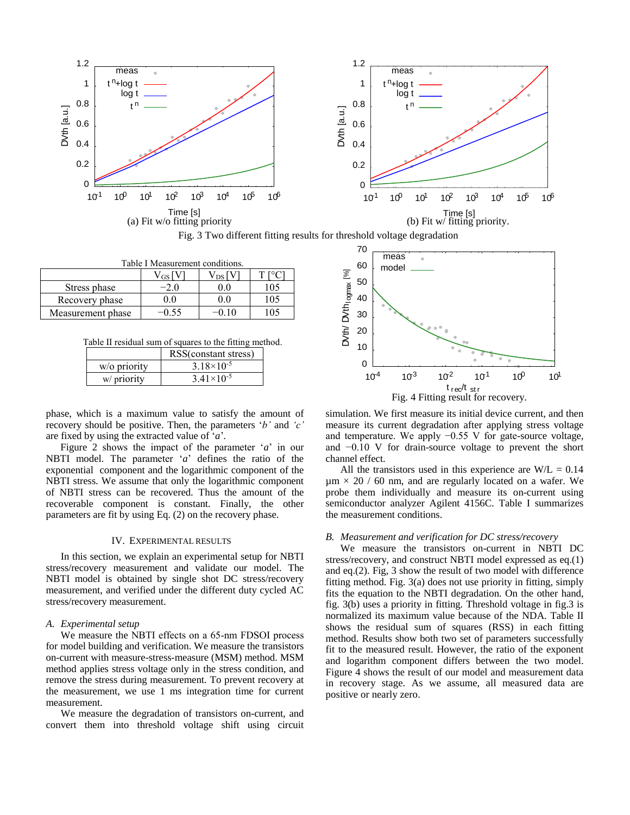

Fig. 3 Two different fitting results for threshold voltage degradation

| Table I Measurement conditions. |                  |                |     |  |
|---------------------------------|------------------|----------------|-----|--|
|                                 | $\rm V_{GS}$ [V] | $V_{DS}$   $V$ |     |  |
| Stress phase                    | $-2.0$           |                | 105 |  |
| Recovery phase                  | 0.0              | 00             | 105 |  |
| Measurement phase               | $-0.55$          |                | 105 |  |

Table Ⅱ residual sum of squares to the fitting method.

|              | RSS(constant stress)  |
|--------------|-----------------------|
| w/o priority | $3.18 \times 10^{-5}$ |
| w/ priority  | $3.41 \times 10^{-5}$ |

phase, which is a maximum value to satisfy the amount of recovery should be positive. Then, the parameters '*b'* and *'c'* are fixed by using the extracted value of '*a*'*.*

Figure 2 shows the impact of the parameter '*a*' in our NBTI model. The parameter '*a*' defines the ratio of the exponential component and the logarithmic component of the NBTI stress. We assume that only the logarithmic component of NBTI stress can be recovered. Thus the amount of the recoverable component is constant. Finally, the other parameters are fit by using Eq. (2) on the recovery phase.

# IV. EXPERIMENTAL RESULTS

In this section, we explain an experimental setup for NBTI stress/recovery measurement and validate our model. The NBTI model is obtained by single shot DC stress/recovery measurement, and verified under the different duty cycled AC stress/recovery measurement.

#### *A. Experimental setup*

We measure the NBTI effects on a 65-nm FDSOI process for model building and verification. We measure the transistors on-current with measure-stress-measure (MSM) method. MSM method applies stress voltage only in the stress condition, and remove the stress during measurement. To prevent recovery at the measurement, we use 1 ms integration time for current measurement.

We measure the degradation of transistors on-current, and convert them into threshold voltage shift using circuit



simulation. We first measure its initial device current, and then measure its current degradation after applying stress voltage and temperature. We apply −0.55 V for gate-source voltage, and −0.10 V for drain-source voltage to prevent the short channel effect.

All the transistors used in this experience are  $W/L = 0.14$  $\mu$ m  $\times$  20 / 60 nm, and are regularly located on a wafer. We probe them individually and measure its on-current using semiconductor analyzer Agilent 4156C. Table I summarizes the measurement conditions.

## *B. Measurement and verification for DC stress/recovery*

We measure the transistors on-current in NBTI DC stress/recovery, and construct NBTI model expressed as eq.(1) and eq.(2). Fig, 3 show the result of two model with difference fitting method. Fig. 3(a) does not use priority in fitting, simply fits the equation to the NBTI degradation. On the other hand, fig. 3(b) uses a priority in fitting. Threshold voltage in fig.3 is normalized its maximum value because of the NDA. Table Ⅱ shows the residual sum of squares (RSS) in each fitting method. Results show both two set of parameters successfully fit to the measured result. However, the ratio of the exponent and logarithm component differs between the two model. Figure 4 shows the result of our model and measurement data in recovery stage. As we assume, all measured data are positive or nearly zero.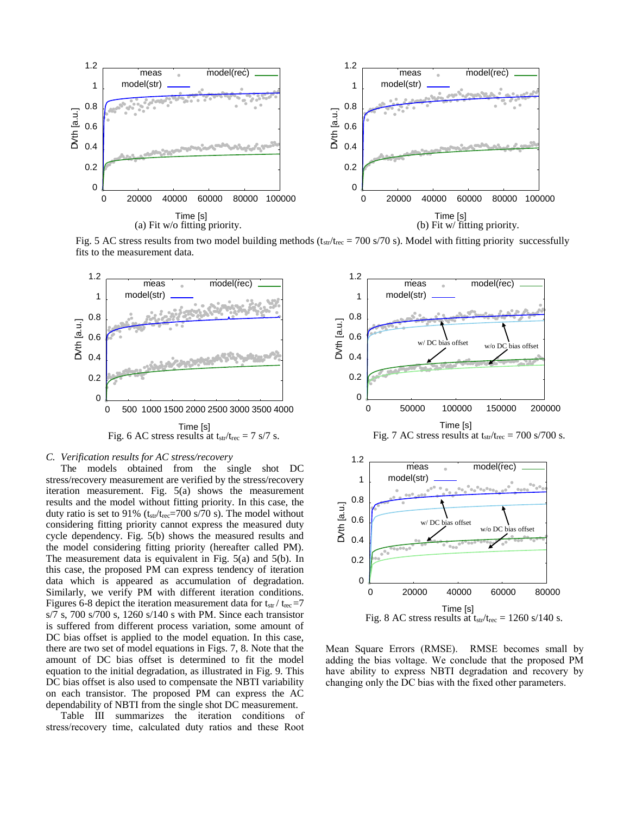

Fig. 5 AC stress results from two model building methods  $(t_{str}/t_{rec} = 700 \text{ s}/70 \text{ s})$ . Model with fitting priority successfully fits to the measurement data.



# *C. Verification results for AC stress/recovery*

The models obtained from the single shot DC stress/recovery measurement are verified by the stress/recovery iteration measurement. Fig. 5(a) shows the measurement results and the model without fitting priority. In this case, the duty ratio is set to 91% ( $t_{str}/t_{rec}=700$  s/70 s). The model without considering fitting priority cannot express the measured duty cycle dependency. Fig. 5(b) shows the measured results and the model considering fitting priority (hereafter called PM). The measurement data is equivalent in Fig. 5(a) and 5(b). In this case, the proposed PM can express tendency of iteration data which is appeared as accumulation of degradation. Similarly, we verify PM with different iteration conditions. Figures 6-8 depict the iteration measurement data for  $t_{str}/t_{rec}=7$ s/7 s, 700 s/700 s, 1260 s/140 s with PM. Since each transistor is suffered from different process variation, some amount of DC bias offset is applied to the model equation. In this case, there are two set of model equations in Figs. 7, 8. Note that the amount of DC bias offset is determined to fit the model equation to the initial degradation, as illustrated in Fig. 9. This DC bias offset is also used to compensate the NBTI variability on each transistor. The proposed PM can express the AC dependability of NBTI from the single shot DC measurement.

Table Ⅲ summarizes the iteration conditions of stress/recovery time, calculated duty ratios and these Root



Mean Square Errors (RMSE). RMSE becomes small by adding the bias voltage. We conclude that the proposed PM have ability to express NBTI degradation and recovery by changing only the DC bias with the fixed other parameters.